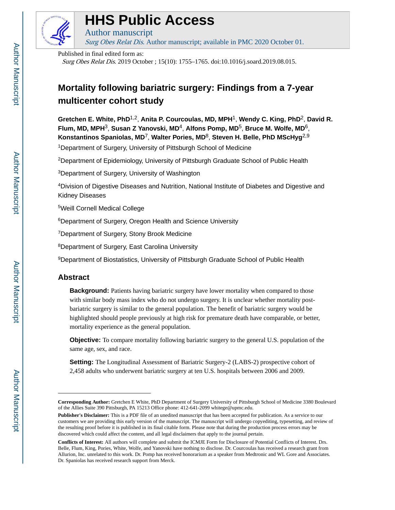

# **HHS Public Access**

Author manuscript Surg Obes Relat Dis. Author manuscript; available in PMC 2020 October 01.

Published in final edited form as:

Surg Obes Relat Dis. 2019 October ; 15(10): 1755–1765. doi:10.1016/j.soard.2019.08.015.

## **Mortality following bariatric surgery: Findings from a 7-year multicenter cohort study**

**Gretchen E. White, PhD**1,2, **Anita P. Courcoulas, MD, MPH**1, **Wendy C. King, PhD**2, **David R. Flum, MD, MPH**3, **Susan Z Yanovski, MD**4, **Alfons Pomp, MD**5, **Bruce M. Wolfe, MD**6, **Konstantinos Spaniolas, MD**7, **Walter Pories, MD**8, **Steven H. Belle, PhD MScHyg**2,9

<sup>1</sup>Department of Surgery, University of Pittsburgh School of Medicine

<sup>2</sup>Department of Epidemiology, University of Pittsburgh Graduate School of Public Health

<sup>3</sup>Department of Surgery, University of Washington

<sup>4</sup>Division of Digestive Diseases and Nutrition, National Institute of Diabetes and Digestive and Kidney Diseases

<sup>5</sup>Weill Cornell Medical College

<sup>6</sup>Department of Surgery, Oregon Health and Science University

<sup>7</sup>Department of Surgery, Stony Brook Medicine

<sup>8</sup>Department of Surgery, East Carolina University

<sup>9</sup>Department of Biostatistics, University of Pittsburgh Graduate School of Public Health

## **Abstract**

**Background:** Patients having bariatric surgery have lower mortality when compared to those with similar body mass index who do not undergo surgery. It is unclear whether mortality postbariatric surgery is similar to the general population. The benefit of bariatric surgery would be highlighted should people previously at high risk for premature death have comparable, or better, mortality experience as the general population.

**Objective:** To compare mortality following bariatric surgery to the general U.S. population of the same age, sex, and race.

**Setting:** The Longitudinal Assessment of Bariatric Surgery-2 (LABS-2) prospective cohort of 2,458 adults who underwent bariatric surgery at ten U.S. hospitals between 2006 and 2009.

**Corresponding Author:** Gretchen E White, PhD Department of Surgery University of Pittsburgh School of Medicine 3380 Boulevard of the Allies Suite 390 Pittsburgh, PA 15213 Office phone: 412-641-2099 whitege@upmc.edu.

**Publisher's Disclaimer:** This is a PDF file of an unedited manuscript that has been accepted for publication. As a service to our customers we are providing this early version of the manuscript. The manuscript will undergo copyediting, typesetting, and review of the resulting proof before it is published in its final citable form. Please note that during the production process errors may be discovered which could affect the content, and all legal disclaimers that apply to the journal pertain.

**Conflicts of Interest:** All authors will complete and submit the ICMJE Form for Disclosure of Potential Conflicts of Interest. Drs. Belle, Flum, King, Pories, White, Wolfe, and Yanovski have nothing to disclose. Dr. Courcoulas has received a research grant from Allurion, Inc. unrelated to this work. Dr. Pomp has received honorarium as a speaker from Medtronic and WL Gore and Associates. Dr. Spaniolas has received research support from Merck.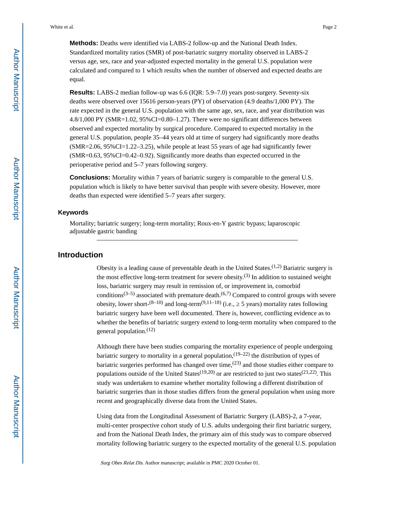**Methods:** Deaths were identified via LABS-2 follow-up and the National Death Index. Standardized mortality ratios (SMR) of post-bariatric surgery mortality observed in LABS-2 versus age, sex, race and year-adjusted expected mortality in the general U.S. population were calculated and compared to 1 which results when the number of observed and expected deaths are equal.

**Results:** LABS-2 median follow-up was 6.6 (IQR: 5.9–7.0) years post-surgery. Seventy-six deaths were observed over 15616 person-years (PY) of observation (4.9 deaths/1,000 PY). The rate expected in the general U.S. population with the same age, sex, race, and year distribution was 4.8/1,000 PY (SMR=1.02, 95%CI=0.80–1.27). There were no significant differences between observed and expected mortality by surgical procedure. Compared to expected mortality in the general U.S. population, people 35–44 years old at time of surgery had significantly more deaths  $(SMR=2.06, 95\% CI=1.22-3.25)$ , while people at least 55 years of age had significantly fewer (SMR=0.63, 95%CI=0.42–0.92). Significantly more deaths than expected occurred in the perioperative period and 5–7 years following surgery.

**Conclusions:** Mortality within 7 years of bariatric surgery is comparable to the general U.S. population which is likely to have better survival than people with severe obesity. However, more deaths than expected were identified 5–7 years after surgery.

#### **Keywords**

Mortality; bariatric surgery; long-term mortality; Roux-en-Y gastric bypass; laparoscopic adjustable gastric banding

#### **Introduction**

Obesity is a leading cause of preventable death in the United States.<sup> $(1,2)$ </sup> Bariatric surgery is the most effective long-term treatment for severe obesity.<sup>(3)</sup> In addition to sustained weight loss, bariatric surgery may result in remission of, or improvement in, comorbid conditions<sup>(3–5)</sup> associated with premature death.<sup>(6,7)</sup> Compared to control groups with severe obesity, lower short- $(8-10)$  and long-term $(9,11-18)$  (i.e., 5 years) mortality rates following bariatric surgery have been well documented. There is, however, conflicting evidence as to whether the benefits of bariatric surgery extend to long-term mortality when compared to the general population. $(12)$ 

Although there have been studies comparing the mortality experience of people undergoing bariatric surgery to mortality in a general population,  $(19-22)$  the distribution of types of bariatric surgeries performed has changed over time,  $(23)$  and those studies either compare to populations outside of the United States<sup>(19,20)</sup> or are restricted to just two states<sup>(21,22)</sup>. This study was undertaken to examine whether mortality following a different distribution of bariatric surgeries than in those studies differs from the general population when using more recent and geographically diverse data from the United States.

Using data from the Longitudinal Assessment of Bariatric Surgery (LABS)-2, a 7-year, multi-center prospective cohort study of U.S. adults undergoing their first bariatric surgery, and from the National Death Index, the primary aim of this study was to compare observed mortality following bariatric surgery to the expected mortality of the general U.S. population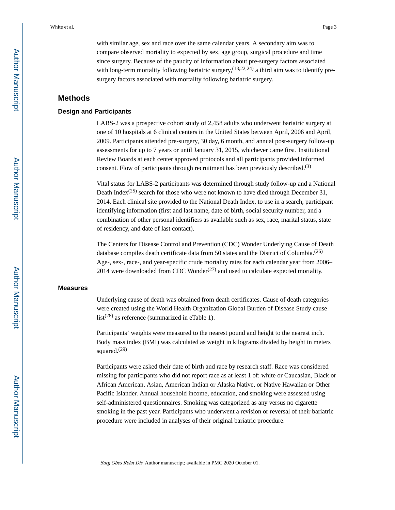with similar age, sex and race over the same calendar years. A secondary aim was to compare observed mortality to expected by sex, age group, surgical procedure and time since surgery. Because of the paucity of information about pre-surgery factors associated with long-term mortality following bariatric surgery,  $(13,22,24)$  a third aim was to identify presurgery factors associated with mortality following bariatric surgery.

#### **Methods**

#### **Design and Participants**

LABS-2 was a prospective cohort study of 2,458 adults who underwent bariatric surgery at one of 10 hospitals at 6 clinical centers in the United States between April, 2006 and April, 2009. Participants attended pre-surgery, 30 day, 6 month, and annual post-surgery follow-up assessments for up to 7 years or until January 31, 2015, whichever came first. Institutional Review Boards at each center approved protocols and all participants provided informed consent. Flow of participants through recruitment has been previously described.<sup>(3)</sup>

Vital status for LABS-2 participants was determined through study follow-up and a National Death Index<sup>(25)</sup> search for those who were not known to have died through December 31, 2014. Each clinical site provided to the National Death Index, to use in a search, participant identifying information (first and last name, date of birth, social security number, and a combination of other personal identifiers as available such as sex, race, marital status, state of residency, and date of last contact).

The Centers for Disease Control and Prevention (CDC) Wonder Underlying Cause of Death database compiles death certificate data from 50 states and the District of Columbia.<sup>(26)</sup> Age-, sex-, race-, and year-specific crude mortality rates for each calendar year from 2006– 2014 were downloaded from CDC Wonder<sup> $(27)$ </sup> and used to calculate expected mortality.

#### **Measures**

Underlying cause of death was obtained from death certificates. Cause of death categories were created using the World Health Organization Global Burden of Disease Study cause  $list^{(28)}$  as reference (summarized in eTable 1).

Participants' weights were measured to the nearest pound and height to the nearest inch. Body mass index (BMI) was calculated as weight in kilograms divided by height in meters squared. $(29)$ 

Participants were asked their date of birth and race by research staff. Race was considered missing for participants who did not report race as at least 1 of: white or Caucasian, Black or African American, Asian, American Indian or Alaska Native, or Native Hawaiian or Other Pacific Islander. Annual household income, education, and smoking were assessed using self-administered questionnaires. Smoking was categorized as any versus no cigarette smoking in the past year. Participants who underwent a revision or reversal of their bariatric procedure were included in analyses of their original bariatric procedure.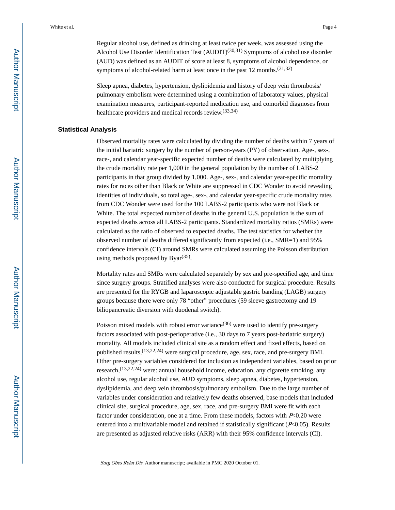Regular alcohol use, defined as drinking at least twice per week, was assessed using the Alcohol Use Disorder Identification Test  $(AUDIT)^{(30,31)}$  Symptoms of alcohol use disorder (AUD) was defined as an AUDIT of score at least 8, symptoms of alcohol dependence, or symptoms of alcohol-related harm at least once in the past 12 months.<sup>(31,32)</sup>

Sleep apnea, diabetes, hypertension, dyslipidemia and history of deep vein thrombosis/ pulmonary embolism were determined using a combination of laboratory values, physical examination measures, participant-reported medication use, and comorbid diagnoses from healthcare providers and medical records review.<sup>(33,34)</sup>

#### **Statistical Analysis**

Observed mortality rates were calculated by dividing the number of deaths within 7 years of the initial bariatric surgery by the number of person-years (PY) of observation. Age-, sex-, race-, and calendar year-specific expected number of deaths were calculated by multiplying the crude mortality rate per 1,000 in the general population by the number of LABS-2 participants in that group divided by 1,000. Age-, sex-, and calendar year-specific mortality rates for races other than Black or White are suppressed in CDC Wonder to avoid revealing identities of individuals, so total age-, sex-, and calendar year-specific crude mortality rates from CDC Wonder were used for the 100 LABS-2 participants who were not Black or White. The total expected number of deaths in the general U.S. population is the sum of expected deaths across all LABS-2 participants. Standardized mortality ratios (SMRs) were calculated as the ratio of observed to expected deaths. The test statistics for whether the observed number of deaths differed significantly from expected (i.e., SMR=1) and 95% confidence intervals (CI) around SMRs were calculated assuming the Poisson distribution using methods proposed by  $Byar^{(35)}$ .

Mortality rates and SMRs were calculated separately by sex and pre-specified age, and time since surgery groups. Stratified analyses were also conducted for surgical procedure. Results are presented for the RYGB and laparoscopic adjustable gastric banding (LAGB) surgery groups because there were only 78 "other" procedures (59 sleeve gastrectomy and 19 biliopancreatic diversion with duodenal switch).

Poisson mixed models with robust error variance  $(36)$  were used to identify pre-surgery factors associated with post-perioperative (i.e., 30 days to 7 years post-bariatric surgery) mortality. All models included clinical site as a random effect and fixed effects, based on published results, <sup>(13,22,24)</sup> were surgical procedure, age, sex, race, and pre-surgery BMI. Other pre-surgery variables considered for inclusion as independent variables, based on prior research,<sup>(13,22,24)</sup> were: annual household income, education, any cigarette smoking, any alcohol use, regular alcohol use, AUD symptoms, sleep apnea, diabetes, hypertension, dyslipidemia, and deep vein thrombosis/pulmonary embolism. Due to the large number of variables under consideration and relatively few deaths observed, base models that included clinical site, surgical procedure, age, sex, race, and pre-surgery BMI were fit with each factor under consideration, one at a time. From these models, factors with  $P<0.20$  were entered into a multivariable model and retained if statistically significant  $(P<0.05)$ . Results are presented as adjusted relative risks (ARR) with their 95% confidence intervals (CI).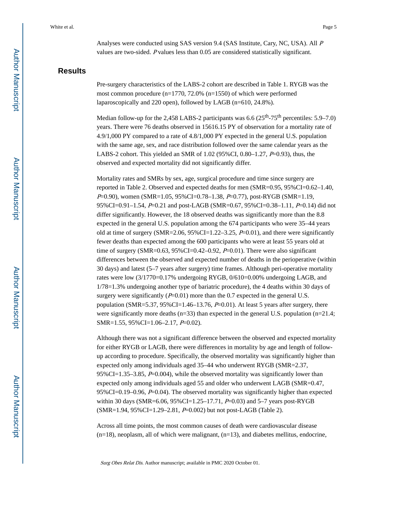Analyses were conducted using SAS version 9.4 (SAS Institute, Cary, NC, USA). All <sup>P</sup> values are two-sided. P values less than 0.05 are considered statistically significant.

## **Results**

Pre-surgery characteristics of the LABS-2 cohort are described in Table 1. RYGB was the most common procedure (n=1770, 72.0% (n=1550) of which were performed laparoscopically and 220 open), followed by LAGB (n=610, 24.8%).

Median follow-up for the 2,458 LABS-2 participants was  $6.6$  ( $25<sup>th</sup>$ -75<sup>th</sup> percentiles: 5.9–7.0) years. There were 76 deaths observed in 15616.15 PY of observation for a mortality rate of 4.9/1,000 PY compared to a rate of 4.8/1,000 PY expected in the general U.S. population with the same age, sex, and race distribution followed over the same calendar years as the LABS-2 cohort. This yielded an SMR of 1.02 (95%CI, 0.80–1.27, P=0.93), thus, the observed and expected mortality did not significantly differ.

Mortality rates and SMRs by sex, age, surgical procedure and time since surgery are reported in Table 2. Observed and expected deaths for men (SMR=0.95, 95%CI=0.62–1.40, P=0.90), women (SMR=1.05, 95%CI=0.78-1.38, P=0.77), post-RYGB (SMR=1.19, 95%CI=0.91–1.54, P=0.21 and post-LAGB (SMR=0.67, 95%CI=0.38–1.11, P=0.14) did not differ significantly. However, the 18 observed deaths was significantly more than the 8.8 expected in the general U.S. population among the 674 participants who were 35–44 years old at time of surgery (SMR=2.06,  $95\%$ CI=1.22–3.25, P=0.01), and there were significantly fewer deaths than expected among the 600 participants who were at least 55 years old at time of surgery (SMR=0.63, 95%CI=0.42–0.92,  $P=0.01$ ). There were also significant differences between the observed and expected number of deaths in the perioperative (within 30 days) and latest (5–7 years after surgery) time frames. Although peri-operative mortality rates were low (3/1770=0.17% undergoing RYGB, 0/610=0.00% undergoing LAGB, and 1/78=1.3% undergoing another type of bariatric procedure), the 4 deaths within 30 days of surgery were significantly  $(P=0.01)$  more than the 0.7 expected in the general U.S. population (SMR=5.37, 95%CI=1.46–13.76,  $P=0.01$ ). At least 5 years after surgery, there were significantly more deaths  $(n=33)$  than expected in the general U.S. population  $(n=21.4;$ SMR=1.55, 95%CI=1.06–2.17, P=0.02).

Although there was not a significant difference between the observed and expected mortality for either RYGB or LAGB, there were differences in mortality by age and length of followup according to procedure. Specifically, the observed mortality was significantly higher than expected only among individuals aged 35–44 who underwent RYGB (SMR=2.37, 95%CI=1.35–3.85, P=0.004), while the observed mortality was significantly lower than expected only among individuals aged 55 and older who underwent LAGB (SMR=0.47, 95%CI=0.19–0.96,  $P=0.04$ ). The observed mortality was significantly higher than expected within 30 days (SMR=6.06,  $95\%$ CI=1.25–17.71, P=0.03) and 5–7 years post-RYGB (SMR=1.94, 95%CI=1.29–2.81, P=0.002) but not post-LAGB (Table 2).

Across all time points, the most common causes of death were cardiovascular disease  $(n=18)$ , neoplasm, all of which were malignant,  $(n=13)$ , and diabetes mellitus, endocrine,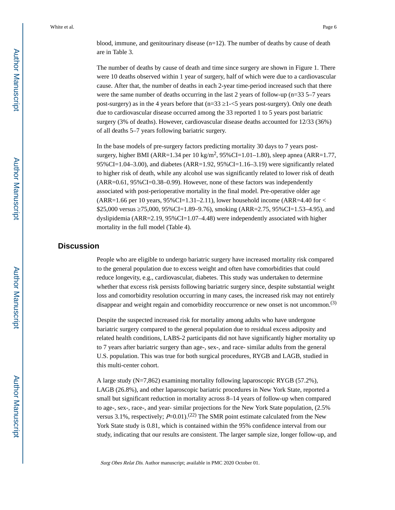blood, immune, and genitourinary disease  $(n=12)$ . The number of deaths by cause of death are in Table 3.

The number of deaths by cause of death and time since surgery are shown in Figure 1. There were 10 deaths observed within 1 year of surgery, half of which were due to a cardiovascular cause. After that, the number of deaths in each 2-year time-period increased such that there were the same number of deaths occurring in the last 2 years of follow-up (n=33 5–7 years post-surgery) as in the 4 years before that  $(n=33 \text{ } 1<5 \text{ years post-surgery})$ . Only one death due to cardiovascular disease occurred among the 33 reported 1 to 5 years post bariatric surgery (3% of deaths). However, cardiovascular disease deaths accounted for 12/33 (36%) of all deaths 5–7 years following bariatric surgery.

In the base models of pre-surgery factors predicting mortality 30 days to 7 years postsurgery, higher BMI (ARR=1.34 per 10 kg/m<sup>2</sup>, 95%CI=1.01–1.80), sleep apnea (ARR=1.77, 95%CI=1.04–3.00), and diabetes (ARR=1.92, 95%CI=1.16–3.19) were significantly related to higher risk of death, while any alcohol use was significantly related to lower risk of death (ARR=0.61, 95%CI=0.38–0.99). However, none of these factors was independently associated with post-perioperative mortality in the final model. Pre-operative older age  $(ARR=1.66$  per 10 years,  $95\%CI=1.31-2.11$ ), lower household income (ARR=4.40 for < \$25,000 versus ≥75,000, 95%CI=1.89–9.76), smoking (ARR=2.75, 95%CI=1.53–4.95), and dyslipidemia  $(ARR=2.19, 95\% CI=1.07-4.48)$  were independently associated with higher mortality in the full model (Table 4).

### **Discussion**

People who are eligible to undergo bariatric surgery have increased mortality risk compared to the general population due to excess weight and often have comorbidities that could reduce longevity, e.g., cardiovascular, diabetes. This study was undertaken to determine whether that excess risk persists following bariatric surgery since, despite substantial weight loss and comorbidity resolution occurring in many cases, the increased risk may not entirely disappear and weight regain and comorbidity reoccurrence or new onset is not uncommon.<sup>(3)</sup>

Despite the suspected increased risk for mortality among adults who have undergone bariatric surgery compared to the general population due to residual excess adiposity and related health conditions, LABS-2 participants did not have significantly higher mortality up to 7 years after bariatric surgery than age-, sex-, and race- similar adults from the general U.S. population. This was true for both surgical procedures, RYGB and LAGB, studied in this multi-center cohort.

A large study (N=7,862) examining mortality following laparoscopic RYGB (57.2%), LAGB (26.8%), and other laparoscopic bariatric procedures in New York State, reported a small but significant reduction in mortality across 8–14 years of follow-up when compared to age-, sex-, race-, and year- similar projections for the New York State population, (2.5% versus 3.1%, respectively;  $P=0.01$ ).<sup>(22)</sup> The SMR point estimate calculated from the New York State study is 0.81, which is contained within the 95% confidence interval from our study, indicating that our results are consistent. The larger sample size, longer follow-up, and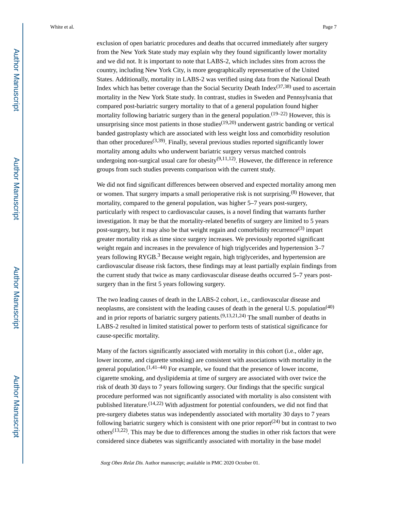exclusion of open bariatric procedures and deaths that occurred immediately after surgery from the New York State study may explain why they found significantly lower mortality and we did not. It is important to note that LABS-2, which includes sites from across the country, including New York City, is more geographically representative of the United States. Additionally, mortality in LABS-2 was verified using data from the National Death Index which has better coverage than the Social Security Death Index $(37,38)$  used to ascertain mortality in the New York State study. In contrast, studies in Sweden and Pennsylvania that compared post-bariatric surgery mortality to that of a general population found higher mortality following bariatric surgery than in the general population.  $(19-22)$  However, this is unsurprising since most patients in those studies<sup> $(19,20)$ </sup> underwent gastric banding or vertical banded gastroplasty which are associated with less weight loss and comorbidity resolution than other procedures<sup>(3,39)</sup>. Finally, several previous studies reported significantly lower mortality among adults who underwent bariatric surgery versus matched controls undergoing non-surgical usual care for obesity<sup>(9,11,12)</sup>. However, the difference in reference groups from such studies prevents comparison with the current study.

We did not find significant differences between observed and expected mortality among men or women. That surgery imparts a small perioperative risk is not surprising.<sup>(8)</sup> However, that mortality, compared to the general population, was higher 5–7 years post-surgery, particularly with respect to cardiovascular causes, is a novel finding that warrants further investigation. It may be that the mortality-related benefits of surgery are limited to 5 years post-surgery, but it may also be that weight regain and comorbidity recurrence<sup>(3)</sup> impart greater mortality risk as time since surgery increases. We previously reported significant weight regain and increases in the prevalence of high triglycerides and hypertension 3–7 years following RYGB.<sup>3</sup> Because weight regain, high triglycerides, and hypertension are cardiovascular disease risk factors, these findings may at least partially explain findings from the current study that twice as many cardiovascular disease deaths occurred 5–7 years postsurgery than in the first 5 years following surgery.

The two leading causes of death in the LABS-2 cohort, i.e., cardiovascular disease and neoplasms, are consistent with the leading causes of death in the general U.S. population<sup>(40)</sup> and in prior reports of bariatric surgery patients.  $(9,13,21,24)$  The small number of deaths in LABS-2 resulted in limited statistical power to perform tests of statistical significance for cause-specific mortality.

Many of the factors significantly associated with mortality in this cohort (i.e., older age, lower income, and cigarette smoking) are consistent with associations with mortality in the general population.  $(1,41-44)$  For example, we found that the presence of lower income, cigarette smoking, and dyslipidemia at time of surgery are associated with over twice the risk of death 30 days to 7 years following surgery. Our findings that the specific surgical procedure performed was not significantly associated with mortality is also consistent with published literature.<sup>(14,22)</sup> With adjustment for potential confounders, we did not find that pre-surgery diabetes status was independently associated with mortality 30 days to 7 years following bariatric surgery which is consistent with one prior report<sup> $(24)$ </sup> but in contrast to two others<sup> $(13,22)$ </sup>. This may be due to differences among the studies in other risk factors that were considered since diabetes was significantly associated with mortality in the base model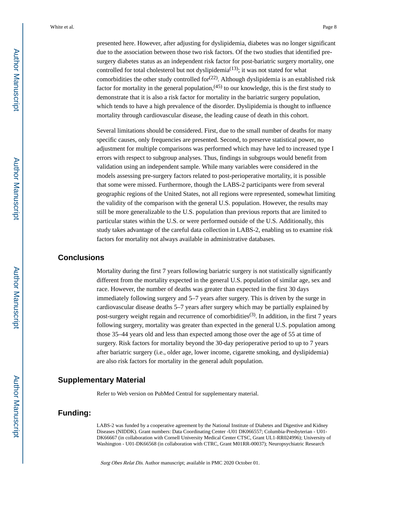presented here. However, after adjusting for dyslipidemia, diabetes was no longer significant due to the association between those two risk factors. Of the two studies that identified presurgery diabetes status as an independent risk factor for post-bariatric surgery mortality, one controlled for total cholesterol but not dyslipidemia<sup>(13)</sup>; it was not stated for what comorbidities the other study controlled for $(22)$ . Although dyslipidemia is an established risk factor for mortality in the general population,  $(45)$  to our knowledge, this is the first study to demonstrate that it is also a risk factor for mortality in the bariatric surgery population, which tends to have a high prevalence of the disorder. Dyslipidemia is thought to influence mortality through cardiovascular disease, the leading cause of death in this cohort.

Several limitations should be considered. First, due to the small number of deaths for many specific causes, only frequencies are presented. Second, to preserve statistical power, no adjustment for multiple comparisons was performed which may have led to increased type I errors with respect to subgroup analyses. Thus, findings in subgroups would benefit from validation using an independent sample. While many variables were considered in the models assessing pre-surgery factors related to post-perioperative mortality, it is possible that some were missed. Furthermore, though the LABS-2 participants were from several geographic regions of the United States, not all regions were represented, somewhat limiting the validity of the comparison with the general U.S. population. However, the results may still be more generalizable to the U.S. population than previous reports that are limited to particular states within the U.S. or were performed outside of the U.S. Additionally, this study takes advantage of the careful data collection in LABS-2, enabling us to examine risk factors for mortality not always available in administrative databases.

#### **Conclusions**

Mortality during the first 7 years following bariatric surgery is not statistically significantly different from the mortality expected in the general U.S. population of similar age, sex and race. However, the number of deaths was greater than expected in the first 30 days immediately following surgery and 5–7 years after surgery. This is driven by the surge in cardiovascular disease deaths 5–7 years after surgery which may be partially explained by post-surgery weight regain and recurrence of comorbidities<sup>(3)</sup>. In addition, in the first 7 years following surgery, mortality was greater than expected in the general U.S. population among those 35–44 years old and less than expected among those over the age of 55 at time of surgery. Risk factors for mortality beyond the 30-day perioperative period to up to 7 years after bariatric surgery (i.e., older age, lower income, cigarette smoking, and dyslipidemia) are also risk factors for mortality in the general adult population.

#### **Supplementary Material**

Refer to Web version on PubMed Central for supplementary material.

## **Funding:**

LABS-2 was funded by a cooperative agreement by the National Institute of Diabetes and Digestive and Kidney Diseases (NIDDK). Grant numbers: Data Coordinating Center -U01 DK066557; Columbia-Presbyterian - U01- DK66667 (in collaboration with Cornell University Medical Center CTSC, Grant UL1-RR024996); University of Washington - U01-DK66568 (in collaboration with CTRC, Grant M01RR-00037); Neuropsychiatric Research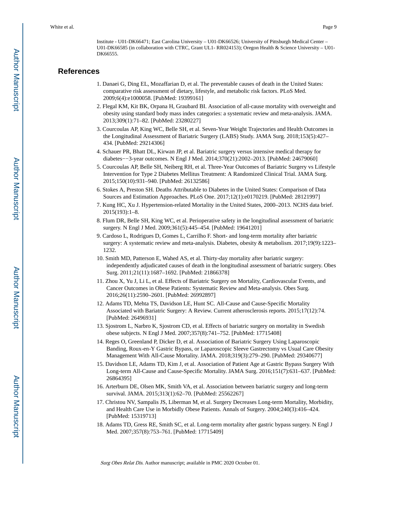Institute - U01-DK66471; East Carolina University – U01-DK66526; University of Pittsburgh Medical Center – U01-DK66585 (in collaboration with CTRC, Grant UL1- RR024153); Oregon Health & Science University – U01- DK66555.

#### **References**

- 1. Danaei G, Ding EL, Mozaffarian D, et al. The preventable causes of death in the United States: comparative risk assessment of dietary, lifestyle, and metabolic risk factors. PLoS Med. 2009;6(4):e1000058. [PubMed: 19399161]
- 2. Flegal KM, Kit BK, Orpana H, Graubard BI. Association of all-cause mortality with overweight and obesity using standard body mass index categories: a systematic review and meta-analysis. JAMA. 2013;309(1):71–82. [PubMed: 23280227]
- 3. Courcoulas AP, King WC, Belle SH, et al. Seven-Year Weight Trajectories and Health Outcomes in the Longitudinal Assessment of Bariatric Surgery (LABS) Study. JAMA Surg. 2018;153(5):427– 434. [PubMed: 29214306]
- 4. Schauer PR, Bhatt DL, Kirwan JP, et al. Bariatric surgery versus intensive medical therapy for diabetes−−3-year outcomes. N Engl J Med. 2014;370(21):2002–2013. [PubMed: 24679060]
- 5. Courcoulas AP, Belle SH, Neiberg RH, et al. Three-Year Outcomes of Bariatric Surgery vs Lifestyle Intervention for Type 2 Diabetes Mellitus Treatment: A Randomized Clinical Trial. JAMA Surg. 2015;150(10):931–940. [PubMed: 26132586]
- 6. Stokes A, Preston SH. Deaths Attributable to Diabetes in the United States: Comparison of Data Sources and Estimation Approaches. PLoS One. 2017;12(1):e0170219. [PubMed: 28121997]
- 7. Kung HC, Xu J. Hypertension-related Mortality in the United States, 2000–2013. NCHS data brief. 2015(193):1–8.
- 8. Flum DR, Belle SH, King WC, et al. Perioperative safety in the longitudinal assessment of bariatric surgery. N Engl J Med. 2009;361(5):445–454. [PubMed: 19641201]
- 9. Cardoso L, Rodrigues D, Gomes L, Carrilho F. Short- and long-term mortality after bariatric surgery: A systematic review and meta-analysis. Diabetes, obesity & metabolism. 2017;19(9):1223– 1232.
- 10. Smith MD, Patterson E, Wahed AS, et al. Thirty-day mortality after bariatric surgery: independently adjudicated causes of death in the longitudinal assessment of bariatric surgery. Obes Surg. 2011;21(11):1687–1692. [PubMed: 21866378]
- 11. Zhou X, Yu J, Li L, et al. Effects of Bariatric Surgery on Mortality, Cardiovascular Events, and Cancer Outcomes in Obese Patients: Systematic Review and Meta-analysis. Obes Surg. 2016;26(11):2590–2601. [PubMed: 26992897]
- 12. Adams TD, Mehta TS, Davidson LE, Hunt SC. All-Cause and Cause-Specific Mortality Associated with Bariatric Surgery: A Review. Current atherosclerosis reports. 2015;17(12):74. [PubMed: 26496931]
- 13. Sjostrom L, Narbro K, Sjostrom CD, et al. Effects of bariatric surgery on mortality in Swedish obese subjects. N Engl J Med. 2007;357(8):741–752. [PubMed: 17715408]
- 14. Reges O, Greenland P, Dicker D, et al. Association of Bariatric Surgery Using Laparoscopic Banding, Roux-en-Y Gastric Bypass, or Laparoscopic Sleeve Gastrectomy vs Usual Care Obesity Management With All-Cause Mortality. JAMA. 2018;319(3):279–290. [PubMed: 29340677]
- 15. Davidson LE, Adams TD, Kim J, et al. Association of Patient Age at Gastric Bypass Surgery With Long-term All-Cause and Cause-Specific Mortality. JAMA Surg. 2016;151(7):631–637. [PubMed: 26864395]
- 16. Arterburn DE, Olsen MK, Smith VA, et al. Association between bariatric surgery and long-term survival. JAMA. 2015;313(1):62–70. [PubMed: 25562267]
- 17. Christou NV, Sampalis JS, Liberman M, et al. Surgery Decreases Long-term Mortality, Morbidity, and Health Care Use in Morbidly Obese Patients. Annals of Surgery. 2004;240(3):416–424. [PubMed: 15319713]
- 18. Adams TD, Gress RE, Smith SC, et al. Long-term mortality after gastric bypass surgery. N Engl J Med. 2007;357(8):753–761. [PubMed: 17715409]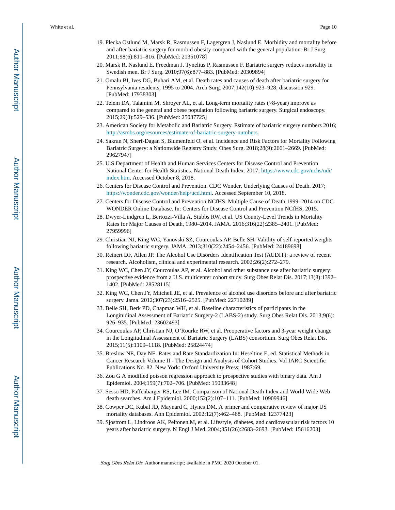- 19. Plecka Ostlund M, Marsk R, Rasmussen F, Lagergren J, Naslund E. Morbidity and mortality before and after bariatric surgery for morbid obesity compared with the general population. Br J Surg. 2011;98(6):811–816. [PubMed: 21351078]
- 20. Marsk R, Naslund E, Freedman J, Tynelius P, Rasmussen F. Bariatric surgery reduces mortality in Swedish men. Br J Surg. 2010;97(6):877–883. [PubMed: 20309894]
- 21. Omalu BI, Ives DG, Buhari AM, et al. Death rates and causes of death after bariatric surgery for Pennsylvania residents, 1995 to 2004. Arch Surg. 2007;142(10):923–928; discussion 929. [PubMed: 17938303]
- 22. Telem DA, Talamini M, Shroyer AL, et al. Long-term mortality rates (>8-year) improve as compared to the general and obese population following bariatric surgery. Surgical endoscopy. 2015;29(3):529–536. [PubMed: 25037725]
- 23. American Society for Metabolic and Bariatric Surgery. Estimate of bariatric surgery numbers 2016; <http://asmbs.org/resources/estimate-of-bariatric-surgery-numbers>.
- 24. Sakran N, Sherf-Dagan S, Blumenfeld O, et al. Incidence and Risk Factors for Mortality Following Bariatric Surgery: a Nationwide Registry Study. Obes Surg. 2018;28(9):2661–2669. [PubMed: 29627947]
- 25. U.S.Department of Health and Human Services Centers for Disease Control and Prevention National Center for Health Statistics. National Death Index. 2017; [https://www.cdc.gov/nchs/ndi/](https://www.cdc.gov/nchs/ndi/index.htm) [index.htm](https://www.cdc.gov/nchs/ndi/index.htm). Accessed October 8, 2018.
- 26. Centers for Disease Control and Prevention. CDC Wonder, Underlying Causes of Death. 2017; <https://wonder.cdc.gov/wonder/help/ucd.html>. Accessed September 10, 2018.
- 27. Centers for Disease Control and Prevention NCfHS. Multiple Cause of Death 1999–2014 on CDC WONDER Online Database. In: Centers for Disease Control and Prevention NCfHS, 2015.
- 28. Dwyer-Lindgren L, Bertozzi-Villa A, Stubbs RW, et al. US County-Level Trends in Mortality Rates for Major Causes of Death, 1980–2014. JAMA. 2016;316(22):2385–2401. [PubMed: 27959996]
- 29. Christian NJ, King WC, Yanovski SZ, Courcoulas AP, Belle SH. Validity of self-reported weights following bariatric surgery. JAMA. 2013;310(22):2454–2456. [PubMed: 24189698]
- 30. Reinert DF, Allen JP. The Alcohol Use Disorders Identification Test (AUDIT): a review of recent research. Alcoholism, clinical and experimental research. 2002;26(2):272–279.
- 31. King WC, Chen JY, Courcoulas AP, et al. Alcohol and other substance use after bariatric surgery: prospective evidence from a U.S. multicenter cohort study. Surg Obes Relat Dis. 2017;13(8):1392– 1402. [PubMed: 28528115]
- 32. King WC, Chen JY, Mitchell JE, et al. Prevalence of alcohol use disorders before and after bariatric surgery. Jama. 2012;307(23):2516–2525. [PubMed: 22710289]
- 33. Belle SH, Berk PD, Chapman WH, et al. Baseline characteristics of participants in the Longitudinal Assessment of Bariatric Surgery-2 (LABS-2) study. Surg Obes Relat Dis. 2013;9(6): 926–935. [PubMed: 23602493]
- 34. Courcoulas AP, Christian NJ, O'Rourke RW, et al. Preoperative factors and 3-year weight change in the Longitudinal Assessment of Bariatric Surgery (LABS) consortium. Surg Obes Relat Dis. 2015;11(5):1109–1118. [PubMed: 25824474]
- 35. Breslow NE, Day NE. Rates and Rate Standardization In: Heseltine E, ed. Statistical Methods in Cancer Research Volume II - The Design and Analysis of Cohort Studies. Vol IARC Scientific Publications No. 82. New York: Oxford University Press; 1987:69.
- 36. Zou G A modified poisson regression approach to prospective studies with binary data. Am J Epidemiol. 2004;159(7):702–706. [PubMed: 15033648]
- 37. Sesso HD, Paffenbarger RS, Lee IM. Comparison of National Death Index and World Wide Web death searches. Am J Epidemiol. 2000;152(2):107–111. [PubMed: 10909946]
- 38. Cowper DC, Kubal JD, Maynard C, Hynes DM. A primer and comparative review of major US mortality databases. Ann Epidemiol. 2002;12(7):462–468. [PubMed: 12377423]
- 39. Sjostrom L, Lindroos AK, Peltonen M, et al. Lifestyle, diabetes, and cardiovascular risk factors 10 years after bariatric surgery. N Engl J Med. 2004;351(26):2683–2693. [PubMed: 15616203]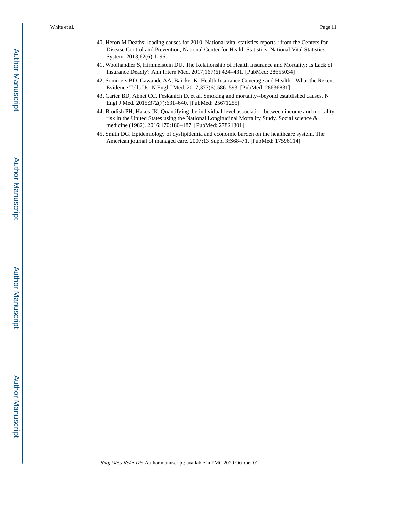- 40. Heron M Deaths: leading causes for 2010. National vital statistics reports : from the Centers for Disease Control and Prevention, National Center for Health Statistics, National Vital Statistics System. 2013;62(6):1–96.
- 41. Woolhandler S, Himmelstein DU. The Relationship of Health Insurance and Mortality: Is Lack of Insurance Deadly? Ann Intern Med. 2017;167(6):424–431. [PubMed: 28655034]
- 42. Sommers BD, Gawande AA, Baicker K. Health Insurance Coverage and Health What the Recent Evidence Tells Us. N Engl J Med. 2017;377(6):586–593. [PubMed: 28636831]
- 43. Carter BD, Abnet CC, Feskanich D, et al. Smoking and mortality--beyond established causes. N Engl J Med. 2015;372(7):631–640. [PubMed: 25671255]
- 44. Brodish PH, Hakes JK. Quantifying the individual-level association between income and mortality risk in the United States using the National Longitudinal Mortality Study. Social science & medicine (1982). 2016;170:180–187. [PubMed: 27821301]
- 45. Smith DG. Epidemiology of dyslipidemia and economic burden on the healthcare system. The American journal of managed care. 2007;13 Suppl 3:S68–71. [PubMed: 17596114]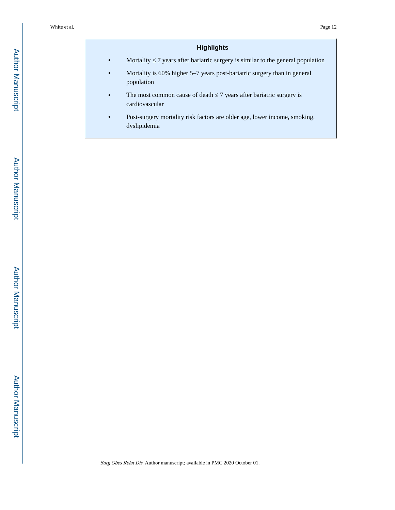## **Highlights**

**Mortality** 7 years after bariatric surgery is similar to the general population

- **•** Mortality is 60% higher 5–7 years post-bariatric surgery than in general population
- The most common cause of death 7 years after bariatric surgery is cardiovascular
- **•** Post-surgery mortality risk factors are older age, lower income, smoking, dyslipidemia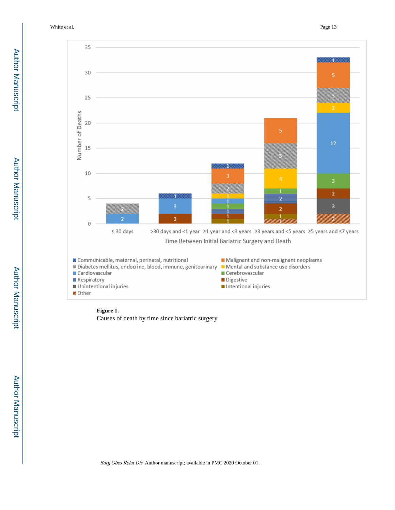White et al. Page 13



## **Figure 1.**

Causes of death by time since bariatric surgery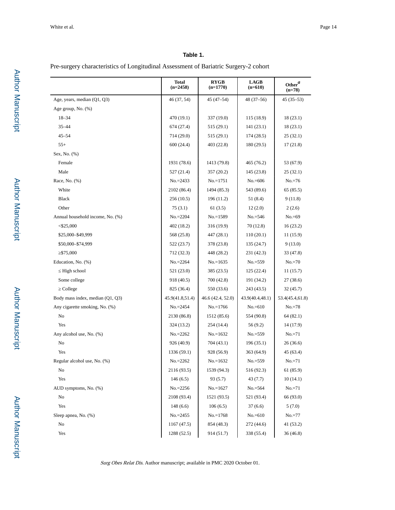#### **Table 1.**

Pre-surgery characteristics of Longitudinal Assessment of Bariatric Surgery-2 cohort

|                                  | <b>Total</b><br>$(n=2458)$ | RYGB<br>$(n=1770)$ | <b>LAGB</b><br>$(n=610)$ | Other $^a$<br>$(n=78)$ |
|----------------------------------|----------------------------|--------------------|--------------------------|------------------------|
| Age, years, median (Q1, Q3)      | 46 (37, 54)                | 45 (47–54)         | 48 (37-56)               | $45(35-53)$            |
| Age group, No. (%)               |                            |                    |                          |                        |
| $18 - 34$                        | 470 (19.1)                 | 337 (19.0)         | 115 (18.9)               | 18(23.1)               |
| $35 - 44$                        | 674 (27.4)                 | 515 (29.1)         | 141 (23.1)               | 18(23.1)               |
| $45 - 54$                        | 714 (29.0)                 | 515 (29.1)         | 174 (28.5)               | 25 (32.1)              |
| $55+$                            | 600 (24.4)                 | 403 (22.8)         | 180 (29.5)               | 17(21.8)               |
| Sex, No. (%)                     |                            |                    |                          |                        |
| Female                           | 1931 (78.6)                | 1413 (79.8)        | 465 (76.2)               | 53 (67.9)              |
| Male                             | 527 (21.4)                 | 357 (20.2)         | 145 (23.8)               | 25 (32.1)              |
| Race, No. (%)                    | $No = 2433$                | $No.=1751$         | $No = 606$               | $No.=76$               |
| White                            | 2102 (86.4)                | 1494 (85.3)        | 543 (89.6)               | 65 (85.5)              |
| <b>Black</b>                     | 256(10.5)                  | 196 (11.2)         | 51 (8.4)                 | 9(11.8)                |
| Other                            | 75(3.1)                    | 61(3.5)            | 12(2.0)                  | 2(2.6)                 |
| Annual household income, No. (%) | $No.=2204$                 | $No.=1589$         | $No.=546$                | $No.=69$               |
| $<$ \$25,000                     | 402 (18.2)                 | 316 (19.9)         | 70 (12.8)                | 16(23.2)               |
| \$25,000-\$49,999                | 568 (25.8)                 | 447 (28.1)         | 110(20.1)                | 11(15.9)               |
| \$50,000-\$74,999                | 522 (23.7)                 | 378 (23.8)         | 135 (24.7)               | 9(13.0)                |
| \$75,000                         | 712 (32.3)                 | 448 (28.2)         | 231 (42.3)               | 33 (47.8)              |
| Education, No. (%)               | $No.=2264$                 | $No = 1635$        | $No.=559$                | $No.=70$               |
| High school                      | 521 (23.0)                 | 385 (23.5)         | 125(22.4)                | 11(15.7)               |
| Some college                     | 918 (40.5)                 | 700 (42.8)         | 191 (34.2)               | 27 (38.6)              |
| College                          | 825 (36.4)                 | 550 (33.6)         | 243 (43.5)               | 32 (45.7)              |
| Body mass index, median (Q1, Q3) | 45.9(41.8,51.4)            | 46.6 (42.4, 52.0)  | 43.9(40.4,48.1)          | 53.4(45.4,61.8)        |
| Any cigarette smoking, No. (%)   | $No.=2454$                 | $No.=1766$         | $No.=610$                | $No.=78$               |
| No                               | 2130 (86.8)                | 1512 (85.6)        | 554 (90.8)               | 64 (82.1)              |
| Yes                              | 324 (13.2)                 | 254 (14.4)         | 56 (9.2)                 | 14 (17.9)              |
| Any alcohol use, No. (%)         | $No.=2262$                 | $No = 1632$        | $No.=559$                | $No.=71$               |
| No                               | 926 (40.9)                 | 704 (43.1)         | 196 (35.1)               | 26 (36.6)              |
| Yes                              | 1336 (59.1)                | 928 (56.9)         | 363 (64.9)               | 45 (63.4)              |
| Regular alcohol use, No. (%)     | $No.=2262$                 | $No = 1632$        | $No.=559$                | $No.=71$               |
| No                               | 2116 (93.5)                | 1539 (94.3)        | 516 (92.3)               | 61 (85.9)              |
| Yes                              | 146(6.5)                   | 93(5.7)            | 43 (7.7)                 | 10(14.1)               |
| AUD symptoms, No. (%)            | $No.=2256$                 | $No.=1627$         | $No.=564$                | $No.=71$               |
| No                               | 2108 (93.4)                | 1521 (93.5)        | 521 (93.4)               | 66 (93.0)              |
| Yes                              | 148(6.6)                   | 106(6.5)           | 37(6.6)                  | 5(7.0)                 |
| Sleep apnea, No. (%)             | $No.=2455$                 | $No.=1768$         | $No.=610$                | $No.=77$               |
| No                               | 1167 (47.5)                | 854 (48.3)         | 272 (44.6)               | 41 (53.2)              |
| Yes                              | 1288 (52.5)                | 914 (51.7)         | 338 (55.4)               | 36(46.8)               |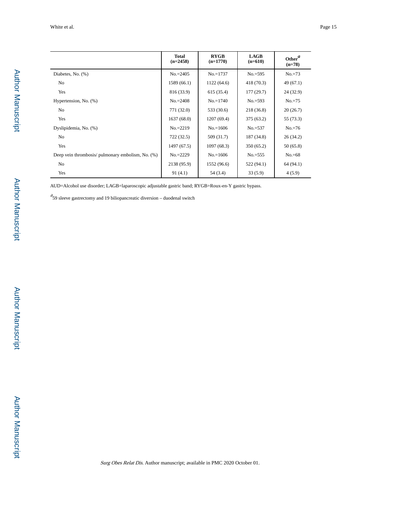|                                                   | <b>Total</b><br>$(n=2458)$ | <b>RYGB</b><br>$(n=1770)$ | <b>LAGB</b><br>$(n=610)$ | Other <sup>a</sup><br>$(n=78)$ |
|---------------------------------------------------|----------------------------|---------------------------|--------------------------|--------------------------------|
| Diabetes, No. (%)                                 | $No.=2405$                 | $No.=1737$                | $No.=595$                | $No.=73$                       |
| N <sub>o</sub>                                    | 1589(66.1)                 | 1122(64.6)                | 418 (70.3)               | 49 (67.1)                      |
| Yes                                               | 816 (33.9)                 | 615(35.4)                 | 177(29.7)                | 24(32.9)                       |
| Hypertension, No. (%)                             | $No.=2408$                 | $No.=1740$                | $No.=593$                | $No.=75$                       |
| N <sub>o</sub>                                    | 771 (32.0)                 | 533 (30.6)                | 218 (36.8)               | 20(26.7)                       |
| Yes                                               | 1637(68.0)                 | 1207(69.4)                | 375 (63.2)               | 55 (73.3)                      |
| Dyslipidemia, No. (%)                             | $No.=2219$                 | $No.=1606$                | $No.=537$                | $No.=76$                       |
| N <sub>o</sub>                                    | 722(32.5)                  | 509 (31.7)                | 187 (34.8)               | 26(34.2)                       |
| Yes                                               | 1497 (67.5)                | 1097(68.3)                | 350(65.2)                | 50(65.8)                       |
| Deep vein thrombosis/ pulmonary embolism, No. (%) | $No = 2229$                | $No = 1606$               | $No.=555$                | $No = 68$                      |
| N <sub>0</sub>                                    | 2138 (95.9)                | 1552 (96.6)               | 522 (94.1)               | 64 (94.1)                      |
| Yes                                               | 91(4.1)                    | 54 (3.4)                  | 33(5.9)                  | 4(5.9)                         |

AUD=Alcohol use disorder; LAGB=laparoscopic adjustable gastric band; RYGB=Roux-en-Y gastric bypass.

 $a<sup>2</sup>$ 59 sleeve gastrectomy and 19 biliopancreatic diversion – duodenal switch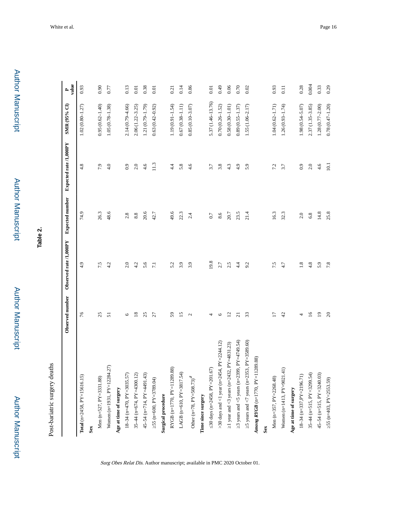**Table 2.**

Post-bariatric surgery deaths Post-bariatric surgery deaths

|                                                               | Observed number | Observed rate/1,000PY | <b>Expected number</b> | Expected rate /1,000PY | SMR (95% CI)        | value<br>$\mathbf{r}$ |
|---------------------------------------------------------------|-----------------|-----------------------|------------------------|------------------------|---------------------|-----------------------|
| Total ( $n=2458$ , $PY=15616.15$ )                            | 76              | 4.9                   | 74.9                   | 4.8                    | $1.02(0.80 - 1.27)$ | 0.93                  |
| Sex                                                           |                 |                       |                        |                        |                     |                       |
| Men (n=527, PY=3331.88)                                       | 25              | 7.5                   | 26.3                   | 7.9                    | $0.95(0.62 - 1.40)$ | 0.90                  |
| Women (n=1931, PY=12284.27)                                   | 5               | 4.2                   | 48.6                   | 4.0                    | $1.05(0.78 - 1.38)$ | 0.77                  |
| Age at time of surgery                                        |                 |                       |                        |                        |                     |                       |
| 18-34 (n=470, PY=3035.57)                                     | 6               | 2.0                   | 2.8                    | 0.9                    | 2.14 (0.79-4.66)    | 0.13                  |
| 35-44 (n=674, PY=4300.12)                                     | $\frac{8}{18}$  | 4.2                   | 8.8                    | 2.0                    | $2.06(1.22 - 3.25)$ | 0.01                  |
| 45-54 (n=714, PY=4491.43)                                     | 25              | 5.6                   | 20.6                   | 4.6                    | 1.21 (0.79-1.79)    | 0.38                  |
| 55 (n=600, PY=3789.04)                                        | 27              | $\overline{z}$        | 42.7                   | 11.3                   | $0.63(0.42 - 0.92)$ | 0.01                  |
| <b>Surgical procedure</b>                                     |                 |                       |                        |                        |                     |                       |
| RYGB (n=1770, PY=11289.88)                                    | 59              | 5.2                   | 49.6                   | 4.4                    | $1.19(0.91 - 1.54)$ | 0.21                  |
| LAGB (n=610, PY=3817.54)                                      | 51              | 3.9                   | 22.3                   | 5.8                    | $0.67(0.38 - 1.11)$ | 0.14                  |
| Other (n=78, PY=508.73) <sup><math>a</math></sup>             | $\mathbf{C}$    | 3.9                   | 2.4                    | 4.6                    | $0.85(0.10 - 3.07)$ | 0.86                  |
| Time since surgery                                            |                 |                       |                        |                        |                     |                       |
| 30 days (n=2458, PY=201.67)                                   | 4               | 19.8                  | 0.7                    | 3.7                    | 5.37 (1.46-13.76)   | 0.01                  |
| >30 days and <1 year (n=2454, $PY=2244.12$ )                  | $\circ$         | 2.7                   | 8.6                    | 3.8                    | $0.70(0.26 - 1.52)$ | 64.0                  |
| 1 year and <3 years (n=2432, PY=4831.23)                      | $\overline{c}$  | 2.5                   | 20.7                   | 4.3                    | $0.58(0.30 - 1.01)$ | 0.06                  |
| 3 years and <5 years (n=2399, PY=4749.54)                     | $\overline{c}$  | 4.4                   | 23.5                   | 4.9                    | $0.89(0.55 - 1.37)$ | 0.70                  |
| PY=3589.60)<br>5 years and $\langle 7 \rangle$ years (n=2353, | 33              | 9.2                   | 21.4                   | 5.9                    | $1.55(1.06 - 2.17)$ | 0.02                  |
| Among $\bm{R}Y\bm{G}\bm{B}$ (n=1770, PY=11289.88)             |                 |                       |                        |                        |                     |                       |
| Sex                                                           |                 |                       |                        |                        |                     |                       |
| Men (n=357, PY=2268.48)                                       | Ξ               | 7.5                   | 16.3                   | 7.2                    | $1.04(0.62 - 1.71)$ | 0.93                  |
| Women (n=1413, PY=9021.41)                                    | 42              | 4.7                   | 32.3                   | 3.7                    | $1.26(0.93 - 1.74)$ | 0.11                  |
| Age at time of surgery                                        |                 |                       |                        |                        |                     |                       |
| $18-34$ (n=337, $PY=2196.71$ )                                | 4               | $\overline{1.8}$      | 2.0                    | 0.9                    | $1.98(0.54 - 5.07)$ | 0.28                  |
| 35-44 (n=515, PY=3299.54)                                     | $\overline{16}$ | 4.8                   | 6.8                    | 2.0                    | $2.37(1.35 - 3.85)$ | 0.004                 |
| 45-54 (n=515, PY=3240.03)                                     | $\overline{1}$  | 5.9                   | 14.8                   | 4.6                    | $1.28(0.77 - 2.00)$ | 0.33                  |
| 55 (n=403, PY=2553.59)                                        | $\Omega$        | 7.8                   | 25.8                   | 10.1                   | $0.78(0.47 - 1.20)$ | 0.29                  |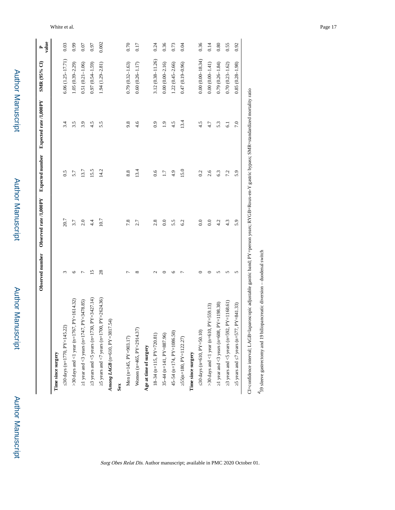|                                                                                                                                                     |    |      |                 |                 |                      | value |
|-----------------------------------------------------------------------------------------------------------------------------------------------------|----|------|-----------------|-----------------|----------------------|-------|
| Time since surgery                                                                                                                                  |    |      |                 |                 |                      |       |
| 30 days (n=1770, PY=145.22)                                                                                                                         |    | 20.7 | 0.5             | 3.4             | $6.06(1.25 - 17.71)$ | 0.03  |
| $PY=1614.32$<br>>30 days and <1 year (n=1767,                                                                                                       | ≌  | 3.7  | 5.7             | 3.5             | $1.05(0.39 - 2.29)$  | 0.99  |
| 1 year and <3 years (n=1747, $PY=3478.85$ )                                                                                                         |    | 2.0  | 13.7            | 3.9             | $0.51(0.21 - 1.06)$  | 0.07  |
| $PY = 3427.14$<br>3 years and $\leq$ years (n=1730,                                                                                                 | ്  | 4.4  | 15.5            | 4.5             | $0.97(0.54 - 1.59)$  | 0.97  |
| 5 years and $\langle 7 \rangle$ years (n=1700, PY=2624.36)                                                                                          | 28 | 10.7 | 14.2            | 5.5             | 1.94 (1.29-2.81)     | 0.002 |
| 54)<br>Among LAGB (n=610, $PY=3817$ .                                                                                                               |    |      |                 |                 |                      |       |
| Sex                                                                                                                                                 |    |      |                 |                 |                      |       |
| Men (n=145, PY=903.17)                                                                                                                              |    | 7.8  | 8.8             | 9.8             | $0.79(0.32 - 1.63)$  | 0.70  |
| Women (n=465, PY=2914.37)                                                                                                                           | ∝  | 2.7  | 13.4            | 4.6             | $0.60(0.26 - 1.17)$  | 0.17  |
| Age at time of surgery                                                                                                                              |    |      |                 |                 |                      |       |
| $18-34$ (n=115, $PY=720.81$ )                                                                                                                       |    | 2.8  | 0.6             | 0.9             | 3.12 (0.38-11.26)    | 0.24  |
| 35-44 (n=141, PY=887.96)                                                                                                                            |    | 0.0  | $\overline{11}$ | $\frac{9}{1}$   | $0.00(0.00-2.16)$    | 0.36  |
| 45-54 (n=174, PY=1086.50)                                                                                                                           |    | 5.5  | 4.9             | 4.5             | $1.22(0.45 - 2.66)$  | 0.73  |
| 55(n=180, PY=1122.27)                                                                                                                               |    | 6.2  | 15.0            | 13.4            | $0.47(0.19 - 0.96)$  | 0.04  |
| Time since surgery                                                                                                                                  |    |      |                 |                 |                      |       |
| 30 days (n=610, PY=50.10)                                                                                                                           |    | 0.0  | 0.2             | 4.5             | $0.00(0.00 - 18.34)$ | 0.36  |
| >30 days and <1 year (n=610, $PY$ =559.13)                                                                                                          |    | 0.0  | 2.6             | 4.7             | $0.00(0.00-1.41)$    | 0.14  |
| 1 year and <3 years (n=608, $PY=1198.38$ )                                                                                                          |    | 4.2  | 6.3             | 5.3             | $0.79(0.26 - 1.84)$  | 0.80  |
| PY=1168.61)<br>3 years and $\leq$ 5 years (n=592,                                                                                                   | n  | 4.3  | 7.2             | $\overline{61}$ | $0.70(0.23 - 1.62)$  | 0.55  |
| $PY = 841.33$<br>5 years and $\frac{7 \text{ years}}{2 \text{ years}}$ (n=577,                                                                      | 5  | 5.9  | 5.9             | 7.0             | $0.85(0.28 - 1.98)$  | 0.92  |
| CI=confidence interval; LAGB=laparoscopic adjustable gastric band: PY=person years; RYGB=Roux-en-Y gastric bypass; SMR=standardized mortality ratio |    |      |                 |                 |                      |       |

Surg Obes Relat Dis. Author manuscript; available in PMC 2020 October 01.

White et al. Page 17

 $\ensuremath{\text{^439}}$  sleeve gastrectomy and 19 biliopancreatic diversion – duodenal switch 59 sleeve gastrectomy and 19 biliopancreatic diversion – duodenal switch

Author Manuscript

Author Manuscript

SMR (95% CI)

Author Manuscript

Author Manuscript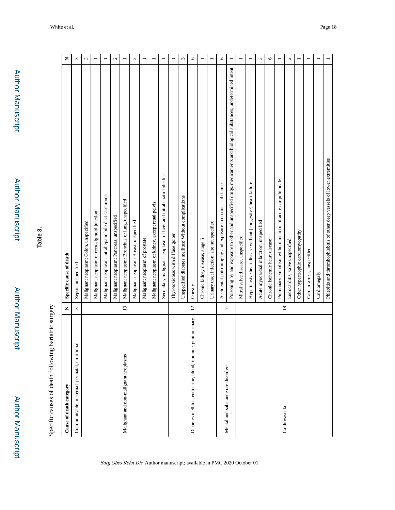Author Manuscript

Author Manuscript

| <b>،</b>                    |
|-----------------------------|
| <b>CHARGE CARD OF SHIPS</b> |
| ١<br>í<br>l<br>.<br>.<br>.  |
| くく<br>j                     |
| ֓<br>くうりょう                  |
| Î<br>j<br>ı<br>Ì            |
|                             |

| Cause of death category                                       | Z               | Specific cause of death                                                                                              | Z              |
|---------------------------------------------------------------|-----------------|----------------------------------------------------------------------------------------------------------------------|----------------|
| Communicable, maternal, perinatal, nutritional                | $\epsilon$      | Sepsis, unspecified                                                                                                  | $\epsilon$     |
|                                                               |                 | Malignant neoplasm: Colon, unspecified                                                                               | $\epsilon$     |
|                                                               |                 | Malignant neoplasm of rectosigmoid junction                                                                          |                |
|                                                               |                 | Malignant neoplasm: Intrahepatic bile duct carcinoma                                                                 |                |
|                                                               |                 | Malignant neoplasm: Pancreas, unspecified                                                                            | $\mathcal{L}$  |
| Malignant and non-malignant neoplasms                         | $\overline{13}$ | Malignant neoplasm: Bronchus or lung, unspecified                                                                    |                |
|                                                               |                 | Malignant neoplasm: Breast, unspecified                                                                              | $\mathcal{L}$  |
|                                                               |                 | Malignant neoplasm of prostate                                                                                       |                |
|                                                               |                 | Malignant neoplasm of kidney, except renal pelvis                                                                    |                |
|                                                               |                 | Secondary malignant neoplasm of liver and intrahepatic bile duct                                                     | $\overline{ }$ |
|                                                               |                 | Thyrotoxicosis with diffuse goiter                                                                                   |                |
|                                                               |                 | Unspecified diabetes mellitus: Without complications                                                                 | 3              |
| genitourinary<br>Diabetes mellitus, endocrine, blood, immune, | $\overline{c}$  | Obesity                                                                                                              | $\circ$        |
|                                                               |                 | Chronic kidney disease, stage 5                                                                                      |                |
|                                                               |                 | Urinary tract infection, site not specified                                                                          |                |
| Mental and substance use disorders                            | $\overline{a}$  | Accidental poisoning by and exposure to noxious substances                                                           | $\circ$        |
|                                                               |                 | Poisoning by and exposure to other and unspecified drugs, medicaments and biological substances, undetermined intent | $\overline{ }$ |
|                                                               |                 | Mitral valve disease, unspecified                                                                                    | $\overline{ }$ |
|                                                               |                 | Hypertensive heart disease without (congestive) heart failure                                                        |                |
|                                                               |                 | Acute myocardial infarction, unspecified                                                                             | $\omega$       |
|                                                               |                 | Chronic ischemic heart disease                                                                                       | $\circ$        |
| Cardiovascular                                                | $\overline{18}$ | Pulmonary embolism without mention of acute cor pulmonale                                                            |                |
|                                                               |                 | Endocarditis, valve unspecified                                                                                      | $\mathcal{L}$  |
|                                                               |                 | Other hypertrophic cardiomyopathy                                                                                    |                |
|                                                               |                 | Cardiac arrest, unspecified                                                                                          |                |
|                                                               |                 | Cardiomegaly                                                                                                         |                |
|                                                               |                 | Phlebitis and thrombophlebitis of other deep vessels of lower extremities                                            |                |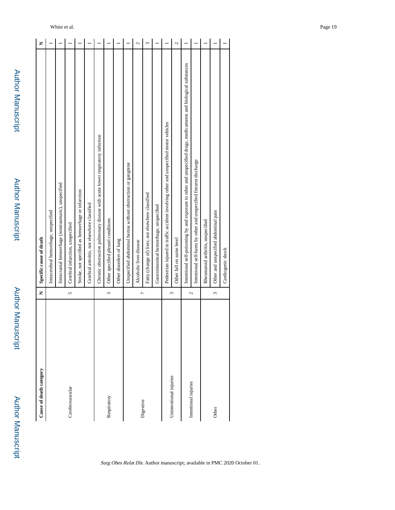| Cause of death category | Z                      | Specific cause of death                                                                                          | Z |
|-------------------------|------------------------|------------------------------------------------------------------------------------------------------------------|---|
|                         |                        | Intracerebral hemorrhage, unspecified                                                                            |   |
|                         |                        | Intracranial hemorrhage (nontraumatic), unspecified                                                              |   |
| Cerebrovascular         | 5                      | Cerebral infarction, unspecified                                                                                 |   |
|                         |                        | Stroke, not specified as hemorrhage or infarction                                                                |   |
|                         |                        | Cerebral arteritis, not elsewhere classified                                                                     |   |
|                         |                        | Chronic obstructive pulmonary disease with acute lower respiratory infection                                     |   |
| Respiratory             | $\tilde{\mathfrak{c}}$ | Other specified pleural conditions                                                                               |   |
|                         |                        | Other disorders of lung                                                                                          |   |
|                         |                        | Unspecified abdominal hernia without obstruction or gangrene                                                     |   |
|                         | $\overline{ }$         | Alcoholic liver disease                                                                                          | 2 |
| Digestive               |                        | Fatty (change of) liver, not elsewhere classified                                                                | 3 |
|                         |                        | Gastrointestinal hemorrhage, unspecified                                                                         |   |
|                         |                        | Pedestrian injured in traffic accident involving other and unspecified motor vehicles                            |   |
| Unintentional injuries  | $\omega$               | Other fall on same level                                                                                         | 2 |
| Intentional injuries    | 2                      | Intentional self-poisoning by and exposure to other and unspecified drugs, medicaments and biological substances |   |
|                         |                        | Intentional self-harm by other and unspecified firearm discharge                                                 |   |
|                         |                        | Rheumatoid arthritis, unspecified                                                                                |   |
| Other                   | $\tilde{\mathfrak{c}}$ | Other and unspecified abdominal pain                                                                             |   |
|                         |                        | Cardiogenic shock                                                                                                |   |

Surg Obes Relat Dis. Author manuscript; available in PMC 2020 October 01.

White et al. Page 19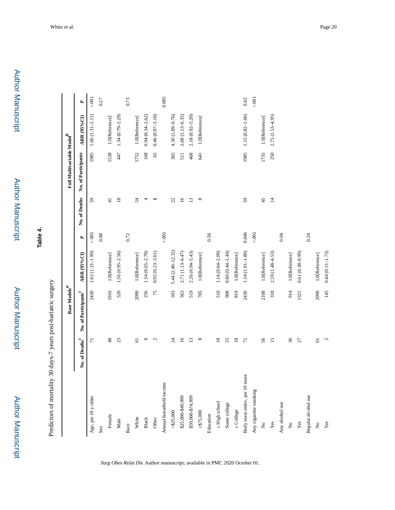**Table 4.**

Predictors of mortality 30 days-7 years post-bariatric surgery Predictors of mortality 30 days-7 years post-bariatric surgery

|                                |                            | Base Models $\real^d$            |                     |       |                 | Full Multivariable Model |                     |       |
|--------------------------------|----------------------------|----------------------------------|---------------------|-------|-----------------|--------------------------|---------------------|-------|
|                                | No. of Deaths <sup>c</sup> | No. of Participants <sup>c</sup> | <b>ARR (95%CI)</b>  | P,    | No. of Deaths   | No. of Participants      | <b>ARR (95%CI)</b>  | R     |
| Age, per 10 y older            | $\overline{r}$             | 2430                             | $1.62(1.31-1.99)$   | 5001  | 59              | 1985                     | $1.66(1.31 - 2.11)$ | 5001  |
| Sex                            |                            |                                  |                     | 0.08  |                 |                          |                     | 0.27  |
| Female                         | 48                         | 1910                             | 1.0[Reference]      |       | $\frac{1}{4}$   | 1538                     | 1.0[Reference]      |       |
| Male                           | 23                         | 520                              | 1.56 (0.95-2.56)    |       | $\overline{18}$ | 447                      | $1.34(0.79 - 2.29)$ |       |
| Race                           |                            |                                  |                     | 0.72  |                 |                          |                     | 0.73  |
| White                          | $\overline{\mathbf{6}}$    | 2099                             | 1.0[Reference]      |       | 54              | 1752                     | 1.0[Reference]      |       |
| ${\bf Black}$                  | $^{\circ}$                 | 256                              | $1.34(0.65 - 2.78)$ |       | 4               | 168                      | $0.94(0.34 - 2.62)$ |       |
| Other                          | $\mathfrak{g}$             | 75                               | $0.92(0.23 - 3.61)$ |       |                 | 65                       | $0.46(0.07 - 3.18)$ |       |
| Annual household income        |                            |                                  |                     | 5001  |                 |                          |                     | 0.005 |
| < \$25,000                     | $\overline{\mathcal{L}}$   | 393                              | 5.44 (2.40-12.32)   |       | 22              | 365                      | 4.30 (1.89-9.76)    |       |
| \$25,000-\$49,999              | $\overline{16}$            | 563                              | 2.71 (1.13-6.47)    |       | $\overline{16}$ | 511                      | 2.68 (1.13-6.35)    |       |
| \$50,000-\$74,999              | 13                         | 519                              | $2.26(0.94 - 5.43)$ |       | $\overline{13}$ | 468                      | $2.18(0.92 - 5.20)$ |       |
| \$75,000                       | $^{\circ}$                 | 705                              | 1.0[Reference]      |       | ${}^{\circ}$    | 641                      | 1.0[Reference]      |       |
| Education                      |                            |                                  |                     | 0.50  |                 |                          |                     |       |
| High school                    | $\overline{18}$            | 510                              | $1.16(0.64 - 2.09)$ |       |                 |                          |                     |       |
| Some college                   | 25                         | 908                              | $0.80(0.44 - 1.44)$ |       |                 |                          |                     |       |
| College                        | $18\,$                     | 819                              | 1.0[Reference]      |       |                 |                          |                     |       |
| Body mass index, per 10 more   | $\overline{7}$             | 2430                             | $1.34(1.01 - 1.80)$ | 0.046 | 59              | 1985                     | $1.15(0.82 - 1.60)$ | 0.42  |
| Any cigarette smoking          |                            |                                  |                     | 5001  |                 |                          |                     | 001   |
| $\stackrel{\circ}{\mathbf{Z}}$ | 56                         | 2108                             | 1.0[Reference]      |       | 45              | 1735                     | 1.0[Reference]      |       |
| $\mathbf{Yes}$                 | $\overline{15}$            | 318                              | 2.59 (1.48-4.53)    |       | $\Xi$           | 250                      | $2.75(1.53 - 4.95)$ |       |
| Any alcohol use                |                            |                                  |                     | 0.04  |                 |                          |                     |       |
| $\mathop{\mathsf{S}}\nolimits$ | 36                         | 914                              | 1.0[Reference]      |       |                 |                          |                     |       |
| $\mathbf{Yes}$                 | $\overline{27}$            | 1321                             | $0.61(0.38-0.99)$   |       |                 |                          |                     |       |
| Regular alcohol use            |                            |                                  |                     | 0.24  |                 |                          |                     |       |
| $\stackrel{\circ}{\mathbf{z}}$ | $\overline{6}$             | 2090                             | 1.0[Reference]      |       |                 |                          |                     |       |
| $\mathbf{Yes}$                 | $\mathfrak{c}$             | 145                              | $0.44(0.11 - 1.73)$ |       |                 |                          |                     |       |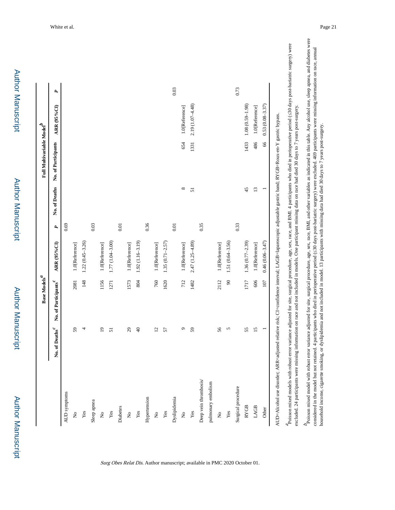|                                |                 | Base Models $\real^d$            |                     |      |                 | Full Multivariable Model |                     |      |
|--------------------------------|-----------------|----------------------------------|---------------------|------|-----------------|--------------------------|---------------------|------|
|                                | No. of Deaths   | No. of Participants <sup>c</sup> | <b>ARR (95%CI)</b>  | P,   | No. of Deaths   | No. of Participants      | ARR (95%CI)         | ٩    |
| AUD symptoms                   |                 |                                  |                     | 0.69 |                 |                          |                     |      |
| $\grave{\varkappa}$            | 59              | 2081                             | 1.0[Reference]      |      |                 |                          |                     |      |
| $\mathbf{Yes}$                 | 4               | 148                              | $1.22(0.45 - 3.26)$ |      |                 |                          |                     |      |
| Sleep apnea                    |                 |                                  |                     | 0.03 |                 |                          |                     |      |
| $\mathop{\mathsf{S}}$          | $\overline{1}$  | 1156                             | 1.0[Reference]      |      |                 |                          |                     |      |
| $\mathbf{Yes}$                 | 51              | 1271                             | 1.77 (1.04-3.00)    |      |                 |                          |                     |      |
| Diabetes                       |                 |                                  |                     | 0.01 |                 |                          |                     |      |
| $\stackrel{\circ}{\mathbf{z}}$ | $\mathfrak{S}$  | 1573                             | 1.0[Reference]      |      |                 |                          |                     |      |
| $\mathbf{Yes}$                 | $\Theta$        | 804                              | $1.92(1.16 - 3.19)$ |      |                 |                          |                     |      |
| Hypertension                   |                 |                                  |                     | 0.36 |                 |                          |                     |      |
| $\mathring{\mathsf{z}}$        | $\overline{c}$  | 760                              | 1.0[Reference]      |      |                 |                          |                     |      |
| $\mathbf{Yes}$                 | 57              | 1620                             | $1.35(0.71 - 2.57)$ |      |                 |                          |                     |      |
| Dyslipidemia                   |                 |                                  |                     | 0.01 |                 |                          |                     | 0.03 |
| $\stackrel{\circ}{\mathbf{z}}$ | ç               | 712                              | 1.0[Reference]      |      | ${}^{\circ}$    | 654                      | 1.0[Reference]      |      |
| Yes                            | 59              | 1482                             | $2.47(1.25 - 4.89)$ |      | 51              | 1331                     | $2.19(1.07 - 4.48)$ |      |
| Deep vein thrombosis/          |                 |                                  |                     | 0.35 |                 |                          |                     |      |
| pulmonary embolism             |                 |                                  |                     |      |                 |                          |                     |      |
| $\mathsf{S}$                   | 56              | 2112                             | 1.0[Reference]      |      |                 |                          |                     |      |
| $\mathbf{Yes}$                 | 5               | $\boldsymbol{\mathcal{S}}$       | 1.51 (0.64-3.56)    |      |                 |                          |                     |      |
| Surgical procedure             |                 |                                  |                     | 0.33 |                 |                          |                     | 0.73 |
| <b>RYGB</b>                    | 55              | 1717                             | $1.36(0.77-2.39)$   |      | 45              | 1433                     | $1.08(0.59 - 1.98)$ |      |
| LAGB                           | $\overline{15}$ | 606                              | 1.0[Reference]      |      | $\overline{13}$ | 486                      | 1.0[Reference]      |      |
| Other                          | Ξ               | 107                              | $0.46(0.06 - 3.47)$ |      |                 | 66                       | $0.53(0.08 - 3.37)$ |      |

Surg Obes Relat Dis. Author manuscript; available in PMC 2020 October 01.

Poisson mixed models with robust error variance adjusted for site, surgical procedure, age, sex, race, and BMI. 4 participants who died in perioperative period ( 30 days post-bariatric surgery) were Poisson mixed models with robust error variance adjusted for site, surgical procedure, age, sex, race, and BMI. 4 participants who died in perioperative period (≤30 days post-bariatric surgery) were excluded. 24 participants were missing information on race and not included in models. One participant missing data on race had died 30 days to 7 years post-surgery. excluded. 24 participants were missing information on race and not included in models. One participant missing data on race had died 30 days to 7 years post-surgery. Poisson mixed model with robust error variance adjusted for site, surgical procedure, age, sex, race, BMI, and other variables as indicated in this table. Any alcohol use, sleep apnea, and diabetes were Poisson mixed model with robust error variance adjusted for site, surgical procedure, age, sex, race, BMI, and other variables as indicated in this table. Any alcohol use, sleep apnea, and diabetes were considered in the model but not retained. 4 participants who died in perioperative period (30 days post-bariatric surgery) were excluded. 469 participants were missing information on race, annual<br>household income, cigarete considered in the model but not retained. 4 participants who died in perioperative period (≤30 days post-bariatric surgery) were excluded. 469 participants were missing information on race, annual household income, cigarette smoking, or dyslipidemia and not included in model. 13 participants with missing data had died 30 days to 7 years post-surgery.

Author Manuscript

**Author Manuscript** 

Author Manuscript

Author Manuscript